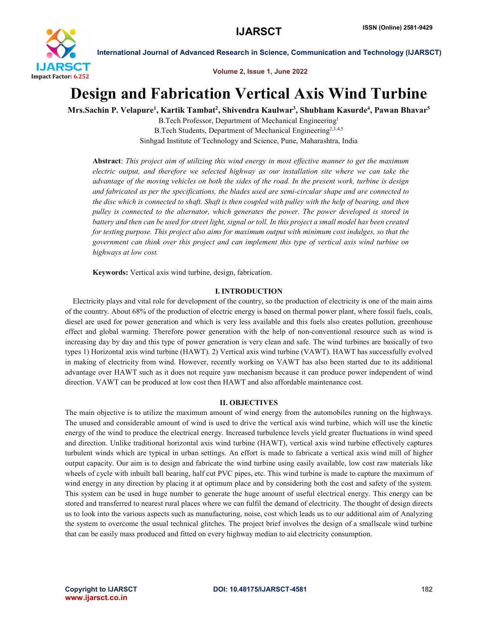

Volume 2, Issue 1, June 2022

# Design and Fabrication Vertical Axis Wind Turbine

Mrs.Sachin P. Velapure<sup>1</sup>, Kartik Tambat<sup>2</sup>, Shivendra Kaulwar<sup>3</sup>, Shubham Kasurde<sup>4</sup>, Pawan Bhavar<sup>5</sup>

B.Tech Professor, Department of Mechanical Engineering1 B.Tech Students, Department of Mechanical Engineering<sup>2,3,4,5</sup> Sinhgad Institute of Technology and Science, Pune, Maharashtra, India

Abstract: *This project aim of utilizing this wind energy in most effective manner to get the maximum electric output, and therefore we selected highway as our installation site where we can take the advantage of the moving vehicles on both the sides of the road. In the present work, turbine is design and fabricated as per the specifications, the blades used are semi-circular shape and are connected to the disc which is connected to shaft. Shaft is then coupled with pulley with the help of bearing, and then pulley is connected to the alternator, which generates the power. The power developed is stored in battery and then can be used for street light, signal or toll. In this project a small model has been created for testing purpose. This project also aims for maximum output with minimum cost indulges, so that the government can think over this project and can implement this type of vertical axis wind turbine on highways at low cost.*

Keywords: Vertical axis wind turbine, design, fabrication.

# I. INTRODUCTION

 Electricity plays and vital role for development of the country, so the production of electricity is one of the main aims of the country. About 68% of the production of electric energy is based on thermal power plant, where fossil fuels, coals, diesel are used for power generation and which is very less available and this fuels also creates pollution, greenhouse effect and global warming. Therefore power generation with the help of non-conventional resource such as wind is increasing day by day and this type of power generation is very clean and safe. The wind turbines are basically of two types 1) Horizontal axis wind turbine (HAWT). 2) Vertical axis wind turbine (VAWT). HAWT has successfully evolved in making of electricity from wind. However, recently working on VAWT has also been started due to its additional advantage over HAWT such as it does not require yaw mechanism because it can produce power independent of wind direction. VAWT can be produced at low cost then HAWT and also affordable maintenance cost.

# II. OBJECTIVES

The main objective is to utilize the maximum amount of wind energy from the automobiles running on the highways. The unused and considerable amount of wind is used to drive the vertical axis wind turbine, which will use the kinetic energy of the wind to produce the electrical energy. Increased turbulence levels yield greater fluctuations in wind speed and direction. Unlike traditional horizontal axis wind turbine (HAWT), vertical axis wind turbine effectively captures turbulent winds which are typical in urban settings. An effort is made to fabricate a vertical axis wind mill of higher output capacity. Our aim is to design and fabricate the wind turbine using easily available, low cost raw materials like wheels of cycle with inbuilt ball bearing, half cut PVC pipes, etc. This wind turbine is made to capture the maximum of wind energy in any direction by placing it at optimum place and by considering both the cost and safety of the system. This system can be used in huge number to generate the huge amount of useful electrical energy. This energy can be stored and transferred to nearest rural places where we can fulfil the demand of electricity. The thought of design directs us to look into the various aspects such as manufacturing, noise, cost which leads us to our additional aim of Analyzing the system to overcome the usual technical glitches. The project brief involves the design of a smallscale wind turbine that can be easily mass produced and fitted on every highway median to aid electricity consumption.

www.ijarsct.co.in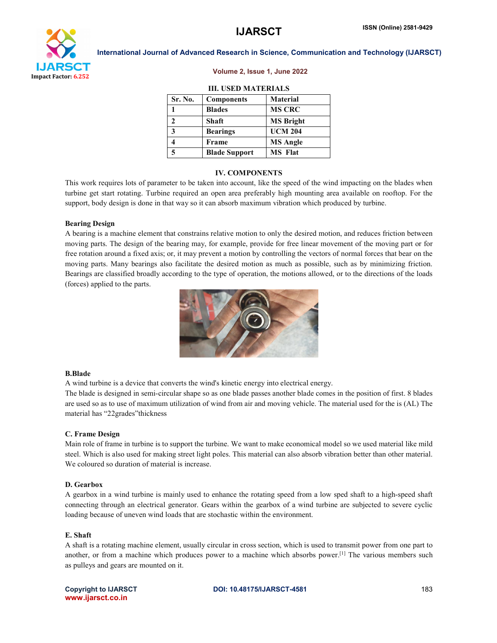

### Volume 2, Issue 1, June 2022

# III. USED MATERIALS

| Sr. No. | <b>Components</b>    | <b>Material</b>  |
|---------|----------------------|------------------|
|         | <b>Blades</b>        | <b>MS CRC</b>    |
| 2       | <b>Shaft</b>         | <b>MS Bright</b> |
| 3       | <b>Bearings</b>      | <b>UCM 204</b>   |
|         | Frame                | <b>MS</b> Angle  |
| 5       | <b>Blade Support</b> | <b>MS</b> Flat   |

### IV. COMPONENTS

This work requires lots of parameter to be taken into account, like the speed of the wind impacting on the blades when turbine get start rotating. Turbine required an open area preferably high mounting area available on rooftop. For the support, body design is done in that way so it can absorb maximum vibration which produced by turbine.

### Bearing Design

A bearing is a machine element that constrains relative motion to only the desired motion, and reduces friction between moving parts. The design of the bearing may, for example, provide for free linear movement of the moving part or for free rotation around a fixed axis; or, it may prevent a motion by controlling the vectors of normal forces that bear on the moving parts. Many bearings also facilitate the desired motion as much as possible, such as by minimizing friction. Bearings are classified broadly according to the type of operation, the motions allowed, or to the directions of the loads (forces) applied to the parts.



### B.Blade

A wind turbine is a device that converts the wind's kinetic energy into electrical energy.

The blade is designed in semi-circular shape so as one blade passes another blade comes in the position of first. 8 blades are used so as to use of maximum utilization of wind from air and moving vehicle. The material used for the is (AL) The material has "22grades"thickness

# C. Frame Design

Main role of frame in turbine is to support the turbine. We want to make economical model so we used material like mild steel. Which is also used for making street light poles. This material can also absorb vibration better than other material. We coloured so duration of material is increase.

### D. Gearbox

A gearbox in a wind turbine is mainly used to enhance the rotating speed from a low sped shaft to a high-speed shaft connecting through an electrical generator. Gears within the gearbox of a wind turbine are subjected to severe cyclic loading because of uneven wind loads that are stochastic within the environment.

## E. Shaft

A shaft is a rotating machine element, usually circular in cross section, which is used to transmit power from one part to another, or from a machine which produces power to a machine which absorbs power.[1] The various members such as pulleys and gears are mounted on it.

www.ijarsct.co.in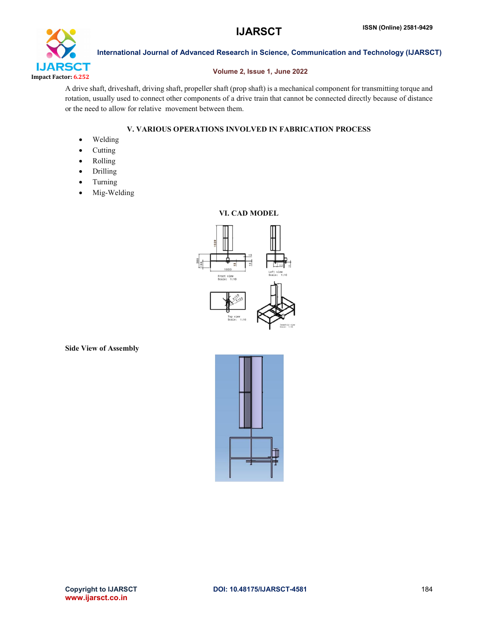

# Volume 2, Issue 1, June 2022

A drive shaft, driveshaft, driving shaft, propeller shaft (prop shaft) is a mechanical component for transmitting torque and rotation, usually used to connect other components of a drive train that cannot be connected directly because of distance or the need to allow for relative movement between them.

# V. VARIOUS OPERATIONS INVOLVED IN FABRICATION PROCESS

- Welding
- Cutting
- Rolling
- Drilling
- Turning
- Mig-Welding

# VI. CAD MODEL



Side View of Assembly

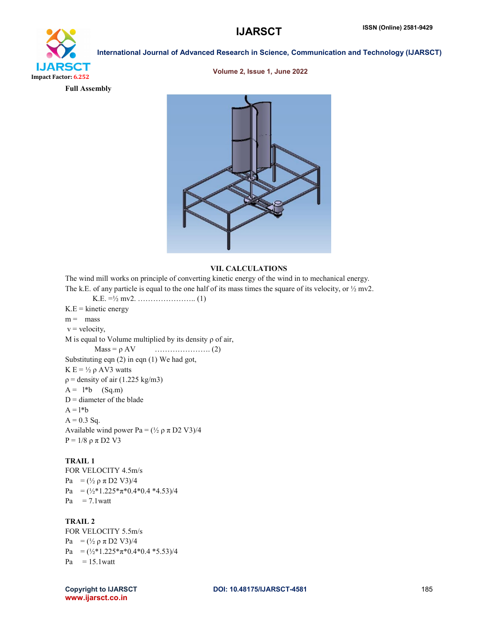

# Volume 2, Issue 1, June 2022

Full Assembly



# VII. CALCULATIONS

The wind mill works on principle of converting kinetic energy of the wind in to mechanical energy. The k.E. of any particle is equal to the one half of its mass times the square of its velocity, or  $\frac{1}{2}$  mv2. K.E. =½ mv2. ………………….. (1)  $K.E =$  kinetic energy  $m =$  mass  $v =$  velocity, M is equal to Volume multiplied by its density  $\rho$  of air, Mass = ρ AV …………………. (2) Substituting eqn (2) in eqn (1) We had got, K  $E = \frac{1}{2} \rho A V3$  watts  $p =$  density of air (1.225 kg/m3)  $A = 1 * b$  (Sq.m)  $D =$  diameter of the blade  $A = l * b$  $A = 0.3$  Sq. Available wind power Pa =  $(\frac{1}{2} \rho \pi D2 V3)/4$  $P = 1/8$  ρ π D2 V3

# TRAIL 1

FOR VELOCITY 4.5m/s Pa =  $(\frac{1}{2} \rho \pi D2 V3)/4$ Pa =  $(\frac{1}{2} * 1.225 * \pi * 0.4 * 0.4 * 4.53)/4$  $Pa = 7.1$  watt

# TRAIL 2

FOR VELOCITY 5.5m/s Pa =  $(\frac{1}{2} \rho \pi D2 V3)/4$ Pa =  $(\frac{1}{2} * 1.225 * \pi * 0.4 * 0.4 * 5.53)/4$  $Pa = 15.1$ watt

Copyright to IJARSCT **DOI: 10.48175/IJARSCT-4581** 185 www.ijarsct.co.in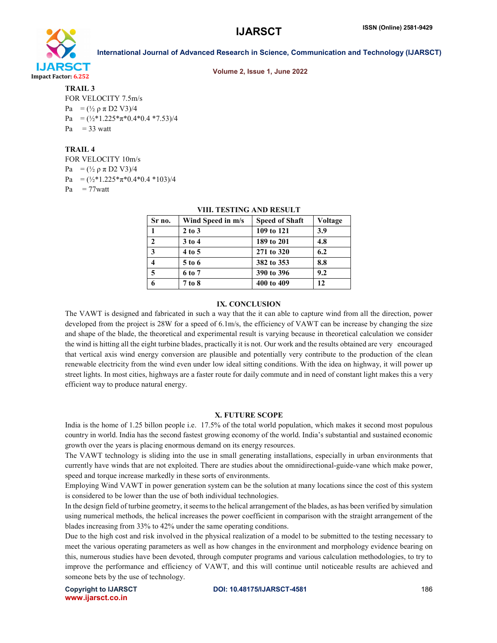

Volume 2, Issue 1, June 2022

# TRAIL 3

FOR VELOCITY 7.5m/s Pa =  $(\frac{1}{2} \rho \pi D2 V3)/4$ Pa =  $(\frac{1}{2} * 1.225 * \pi * 0.4 * 0.4 * 7.53)/4$  $Pa = 33$  watt

# TRAIL 4

FOR VELOCITY 10m/s

Pa =  $(\frac{1}{2} \rho \pi D2 V3)/4$ 

Pa =  $(\frac{1}{2} * 1.225 * \pi * 0.4 * 0.4 * 103)/4$ 

 $Pa = 77$ watt

| унн. темпим амр кемен |                   |                       |         |  |
|-----------------------|-------------------|-----------------------|---------|--|
| Sr no.                | Wind Speed in m/s | <b>Speed of Shaft</b> | Voltage |  |
|                       | $2$ to $3$        | 109 to 121            | 3.9     |  |
| $\overline{2}$        | $3$ to $4$        | 189 to 201            | 4.8     |  |
| $\mathbf{3}$          | 4 to 5            | 271 to 320            | 6.2     |  |
|                       | 5 to 6            | 382 to 353            | 8.8     |  |
| 5                     | 6 to 7            | 390 to 396            | 9.2     |  |
| 6                     | 7 to 8            | 400 to 409            | 12      |  |

# VIII. TESTING AND RESULT

### IX. CONCLUSION

The VAWT is designed and fabricated in such a way that the it can able to capture wind from all the direction, power developed from the project is 28W for a speed of 6.1m/s, the efficiency of VAWT can be increase by changing the size and shape of the blade, the theoretical and experimental result is varying because in theoretical calculation we consider the wind is hitting all the eight turbine blades, practically it is not. Our work and the results obtained are very encouraged that vertical axis wind energy conversion are plausible and potentially very contribute to the production of the clean renewable electricity from the wind even under low ideal sitting conditions. With the idea on highway, it will power up street lights. In most cities, highways are a faster route for daily commute and in need of constant light makes this a very efficient way to produce natural energy.

### X. FUTURE SCOPE

India is the home of 1.25 billon people i.e. 17.5% of the total world population, which makes it second most populous country in world. India has the second fastest growing economy of the world. India's substantial and sustained economic growth over the years is placing enormous demand on its energy resources.

The VAWT technology is sliding into the use in small generating installations, especially in urban environments that currently have winds that are not exploited. There are studies about the omnidirectional-guide-vane which make power, speed and torque increase markedly in these sorts of environments.

Employing Wind VAWT in power generation system can be the solution at many locations since the cost of this system is considered to be lower than the use of both individual technologies.

In the design field of turbine geometry, it seems to the helical arrangement of the blades, as has been verified by simulation using numerical methods, the helical increases the power coefficient in comparison with the straight arrangement of the blades increasing from 33% to 42% under the same operating conditions.

Due to the high cost and risk involved in the physical realization of a model to be submitted to the testing necessary to meet the various operating parameters as well as how changes in the environment and morphology evidence bearing on this, numerous studies have been devoted, through computer programs and various calculation methodologies, to try to improve the performance and efficiency of VAWT, and this will continue until noticeable results are achieved and someone bets by the use of technology.

www.ijarsct.co.in